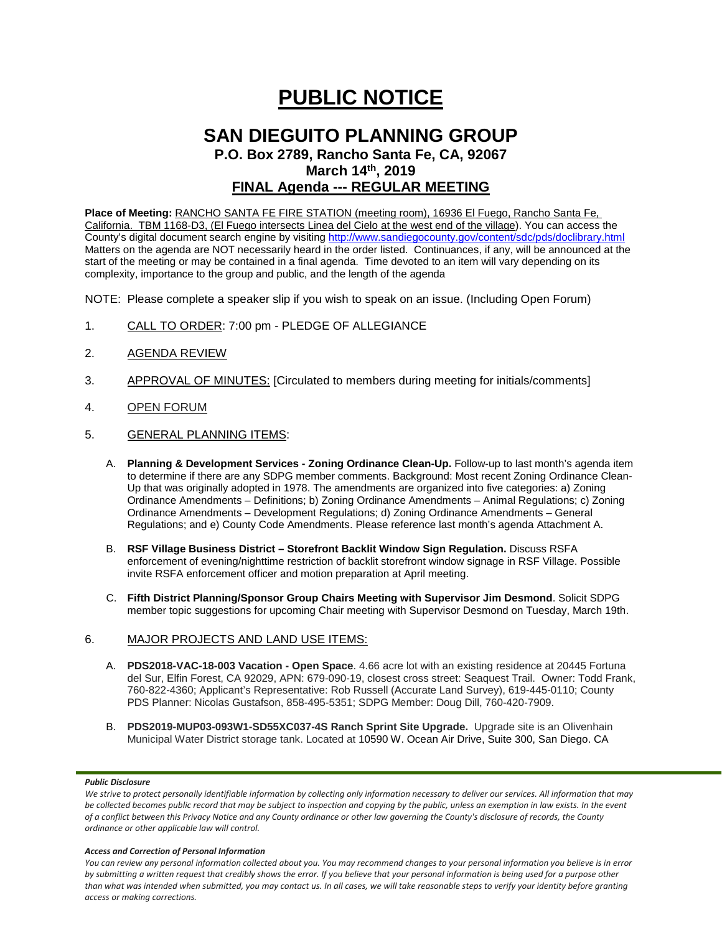# **PUBLIC NOTICE**

# **SAN DIEGUITO PLANNING GROUP P.O. Box 2789, Rancho Santa Fe, CA, 92067 March 14th, 2019 FINAL Agenda --- REGULAR MEETING**

# **Place of Meeting:** RANCHO SANTA FE FIRE STATION (meeting room), 16936 El Fuego, Rancho Santa Fe, California. TBM 1168-D3, (El Fuego intersects Linea del Cielo at the west end of the village). You can access the County's digital document search engine by visitin[g http://www.sandiegocounty.gov/content/sdc/pds/doclibrary.html](http://www.sandiegocounty.gov/content/sdc/pds/doclibrary.html) Matters on the agenda are NOT necessarily heard in the order listed. Continuances, if any, will be announced at the

start of the meeting or may be contained in a final agenda. Time devoted to an item will vary depending on its complexity, importance to the group and public, and the length of the agenda

NOTE: Please complete a speaker slip if you wish to speak on an issue. (Including Open Forum)

- 1. CALL TO ORDER: 7:00 pm PLEDGE OF ALLEGIANCE
- 2. AGENDA REVIEW
- 3. APPROVAL OF MINUTES: [Circulated to members during meeting for initials/comments]
- 4. OPEN FORUM
- 5. GENERAL PLANNING ITEMS:
	- A. **Planning & Development Services - Zoning Ordinance Clean-Up.** Follow-up to last month's agenda item to determine if there are any SDPG member comments. Background: Most recent Zoning Ordinance Clean-Up that was originally adopted in 1978. The amendments are organized into five categories: a) Zoning Ordinance Amendments – Definitions; b) Zoning Ordinance Amendments – Animal Regulations; c) Zoning Ordinance Amendments – Development Regulations; d) Zoning Ordinance Amendments – General Regulations; and e) County Code Amendments. Please reference last month's agenda Attachment A.
	- B. **RSF Village Business District – Storefront Backlit Window Sign Regulation.** Discuss RSFA enforcement of evening/nighttime restriction of backlit storefront window signage in RSF Village. Possible invite RSFA enforcement officer and motion preparation at April meeting.
	- C. **Fifth District Planning/Sponsor Group Chairs Meeting with Supervisor Jim Desmond**. Solicit SDPG member topic suggestions for upcoming Chair meeting with Supervisor Desmond on Tuesday, March 19th.

# 6. MAJOR PROJECTS AND LAND USE ITEMS:

- A. **PDS2018-VAC-18-003 Vacation - Open Space**. 4.66 acre lot with an existing residence at 20445 Fortuna del Sur, Elfin Forest, CA 92029, APN: 679-090-19, closest cross street: Seaquest Trail. Owner: Todd Frank, 760-822-4360; Applicant's Representative: Rob Russell (Accurate Land Survey), 619-445-0110; County PDS Planner: Nicolas Gustafson, 858-495-5351; SDPG Member: Doug Dill, 760-420-7909.
- B. **PDS2019-MUP03-093W1-SD55XC037-4S Ranch Sprint Site Upgrade.** Upgrade site is an Olivenhain Municipal Water District storage tank. Located at 10590 W. Ocean Air Drive, Suite 300, San Diego. CA

### *Public Disclosure*

#### *Access and Correction of Personal Information*

We strive to protect personally identifiable information by collecting only information necessary to deliver our services. All information that may *be collected becomes public record that may be subject to inspection and copying by the public, unless an exemption in law exists. In the event of a conflict between this Privacy Notice and any County ordinance or other law governing the County's disclosure of records, the County ordinance or other applicable law will control.*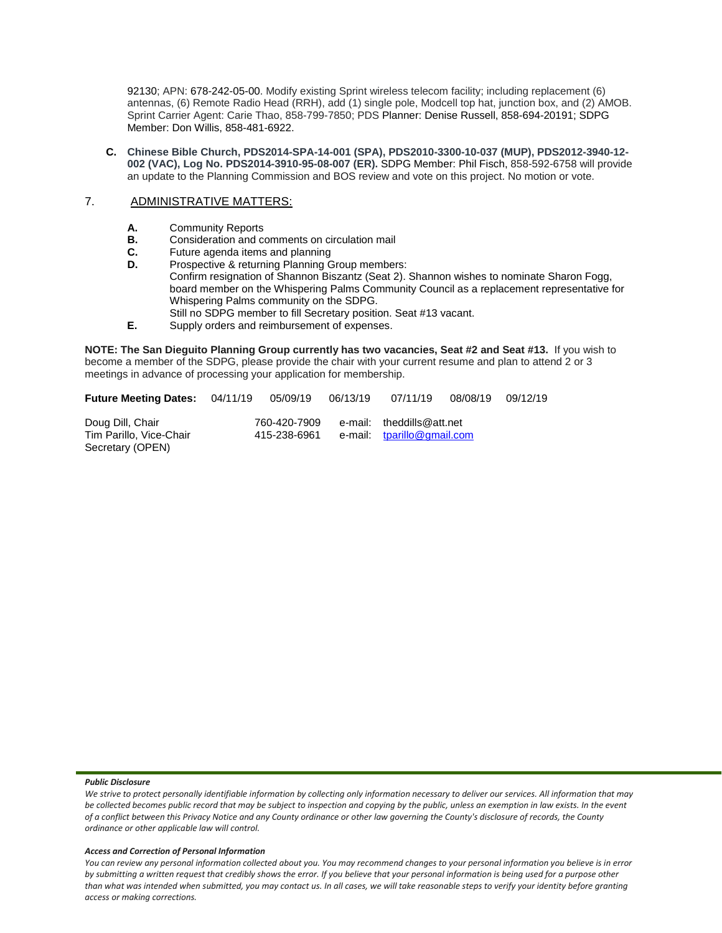92130; APN: 678-242-05-00. Modify existing Sprint wireless telecom facility; including replacement (6) antennas, (6) Remote Radio Head (RRH), add (1) single pole, Modcell top hat, junction box, and (2) AMOB. Sprint Carrier Agent: Carie Thao, 858-799-7850; PDS Planner: Denise Russell, 858-694-20191; SDPG Member: Don Willis, 858-481-6922.

**C. Chinese Bible Church, PDS2014-SPA-14-001 (SPA), PDS2010-3300-10-037 (MUP), PDS2012-3940-12- 002 (VAC), Log No. PDS2014-3910-95-08-007 (ER).** SDPG Member: Phil Fisch, 858-592-6758 will provide an update to the Planning Commission and BOS review and vote on this project. No motion or vote.

### 7. ADMINISTRATIVE MATTERS:

- **A.** Community Reports<br>**B.** Consideration and compared
- **B.** Consideration and comments on circulation mail
- **C.** Future agenda items and planning<br>**D.** Prospective & returning Planning G
- Prospective & returning Planning Group members: Confirm resignation of Shannon Biszantz (Seat 2). Shannon wishes to nominate Sharon Fogg, board member on the Whispering Palms Community Council as a replacement representative for Whispering Palms community on the SDPG. Still no SDPG member to fill Secretary position. Seat #13 vacant.
- **E.** Supply orders and reimbursement of expenses.

**NOTE: The San Dieguito Planning Group currently has two vacancies, Seat #2 and Seat #13.** If you wish to become a member of the SDPG, please provide the chair with your current resume and plan to attend 2 or 3 meetings in advance of processing your application for membership.

| <b>Future Meeting Dates: 04/11/19</b>                           | 05/09/19                     | 06/13/19 | 07/11/19                                                | 08/08/19 | 09/12/19 |
|-----------------------------------------------------------------|------------------------------|----------|---------------------------------------------------------|----------|----------|
| Doug Dill, Chair<br>Tim Parillo, Vice-Chair<br>Secretary (OPEN) | 760-420-7909<br>415-238-6961 |          | e-mail: theddills@att.net<br>e-mail: tparillo@gmail.com |          |          |

#### *Public Disclosure*

#### *Access and Correction of Personal Information*

We strive to protect personally identifiable information by collecting only information necessary to deliver our services. All information that may *be collected becomes public record that may be subject to inspection and copying by the public, unless an exemption in law exists. In the event of a conflict between this Privacy Notice and any County ordinance or other law governing the County's disclosure of records, the County ordinance or other applicable law will control.*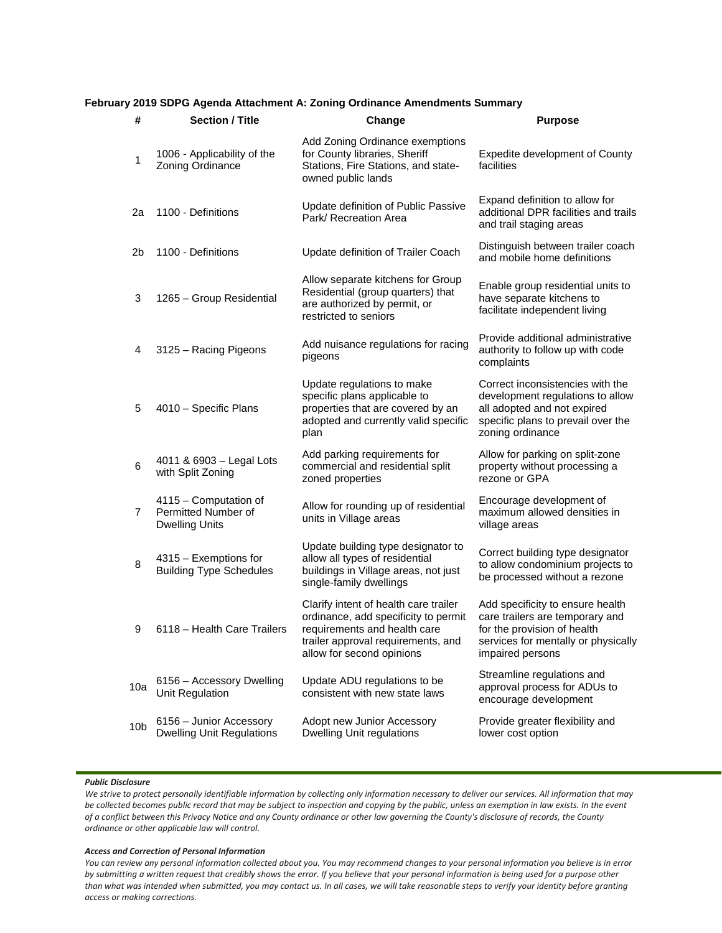## **February 2019 SDPG Agenda Attachment A: Zoning Ordinance Amendments Summary**

| #               | <b>Section / Title</b>                                                | Change                                                                                                                                                                           | <b>Purpose</b>                                                                                                                                                |
|-----------------|-----------------------------------------------------------------------|----------------------------------------------------------------------------------------------------------------------------------------------------------------------------------|---------------------------------------------------------------------------------------------------------------------------------------------------------------|
| 1               | 1006 - Applicability of the<br>Zoning Ordinance                       | Add Zoning Ordinance exemptions<br>for County libraries, Sheriff<br>Stations, Fire Stations, and state-<br>owned public lands                                                    | Expedite development of County<br>facilities                                                                                                                  |
| 2a              | 1100 - Definitions                                                    | Update definition of Public Passive<br>Park/ Recreation Area                                                                                                                     | Expand definition to allow for<br>additional DPR facilities and trails<br>and trail staging areas                                                             |
| 2b              | 1100 - Definitions                                                    | Update definition of Trailer Coach                                                                                                                                               | Distinguish between trailer coach<br>and mobile home definitions                                                                                              |
| 3               | 1265 - Group Residential                                              | Allow separate kitchens for Group<br>Residential (group quarters) that<br>are authorized by permit, or<br>restricted to seniors                                                  | Enable group residential units to<br>have separate kitchens to<br>facilitate independent living                                                               |
| 4               | 3125 - Racing Pigeons                                                 | Add nuisance regulations for racing<br>pigeons                                                                                                                                   | Provide additional administrative<br>authority to follow up with code<br>complaints                                                                           |
| 5               | 4010 - Specific Plans                                                 | Update regulations to make<br>specific plans applicable to<br>properties that are covered by an<br>adopted and currently valid specific<br>plan                                  | Correct inconsistencies with the<br>development regulations to allow<br>all adopted and not expired<br>specific plans to prevail over the<br>zoning ordinance |
| 6               | 4011 & 6903 - Legal Lots<br>with Split Zoning                         | Add parking requirements for<br>commercial and residential split<br>zoned properties                                                                                             | Allow for parking on split-zone<br>property without processing a<br>rezone or GPA                                                                             |
| 7               | 4115 - Computation of<br>Permitted Number of<br><b>Dwelling Units</b> | Allow for rounding up of residential<br>units in Village areas                                                                                                                   | Encourage development of<br>maximum allowed densities in<br>village areas                                                                                     |
| 8               | 4315 - Exemptions for<br><b>Building Type Schedules</b>               | Update building type designator to<br>allow all types of residential<br>buildings in Village areas, not just<br>single-family dwellings                                          | Correct building type designator<br>to allow condominium projects to<br>be processed without a rezone                                                         |
| 9               | 6118 - Health Care Trailers                                           | Clarify intent of health care trailer<br>ordinance, add specificity to permit<br>requirements and health care<br>trailer approval requirements, and<br>allow for second opinions | Add specificity to ensure health<br>care trailers are temporary and<br>for the provision of health<br>services for mentally or physically<br>impaired persons |
| 10a             | 6156 - Accessory Dwelling<br>Unit Regulation                          | Update ADU regulations to be<br>consistent with new state laws                                                                                                                   | Streamline regulations and<br>approval process for ADUs to<br>encourage development                                                                           |
| 10 <sub>b</sub> | 6156 - Junior Accessory<br><b>Dwelling Unit Regulations</b>           | Adopt new Junior Accessory<br><b>Dwelling Unit regulations</b>                                                                                                                   | Provide greater flexibility and<br>lower cost option                                                                                                          |

#### *Public Disclosure*

We strive to protect personally identifiable information by collecting only information necessary to deliver our services. All information that may *be collected becomes public record that may be subject to inspection and copying by the public, unless an exemption in law exists. In the event of a conflict between this Privacy Notice and any County ordinance or other law governing the County's disclosure of records, the County ordinance or other applicable law will control.*

#### *Access and Correction of Personal Information*